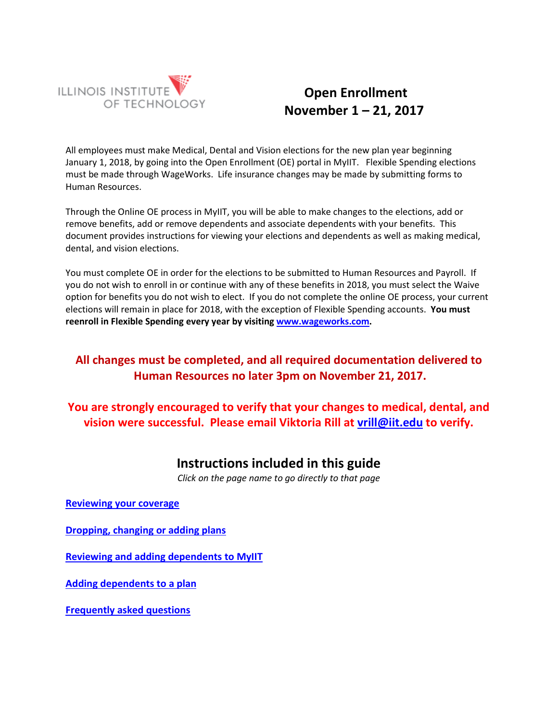

# **Open Enrollment November 1 – 21, 2017**

All employees must make Medical, Dental and Vision elections for the new plan year beginning January 1, 2018, by going into the Open Enrollment (OE) portal in MyIIT. Flexible Spending elections must be made through WageWorks. Life insurance changes may be made by submitting forms to Human Resources.

Through the Online OE process in MyIIT, you will be able to make changes to the elections, add or remove benefits, add or remove dependents and associate dependents with your benefits. This document provides instructions for viewing your elections and dependents as well as making medical, dental, and vision elections.

You must complete OE in order for the elections to be submitted to Human Resources and Payroll. If you do not wish to enroll in or continue with any of these benefits in 2018, you must select the Waive option for benefits you do not wish to elect. If you do not complete the online OE process, your current elections will remain in place for 2018, with the exception of Flexible Spending accounts. **You must reenroll in Flexible Spending every year by visiting [www.wageworks.com.](http://www.wageworks.com/)**

# **All changes must be completed, and all required documentation delivered to Human Resources no later 3pm on November 21, 2017.**

**You are strongly encouraged to verify that your changes to medical, dental, and vision were successful. Please email Viktoria Rill at [vrill@iit.edu](mailto:vrill@iit.edu) to verify.**

# **Instructions included in this guide**

*Click on the page name to go directly to that page*

**[Reviewing your coverage](#page-1-0)**

**Dropping, changing [or adding plans](#page-2-0)**

**Reviewing and adding [dependents to MyIIT](#page-5-0)**

**[Adding dependents to a plan](#page-7-0)**

**[Frequently asked questions](#page-10-0)**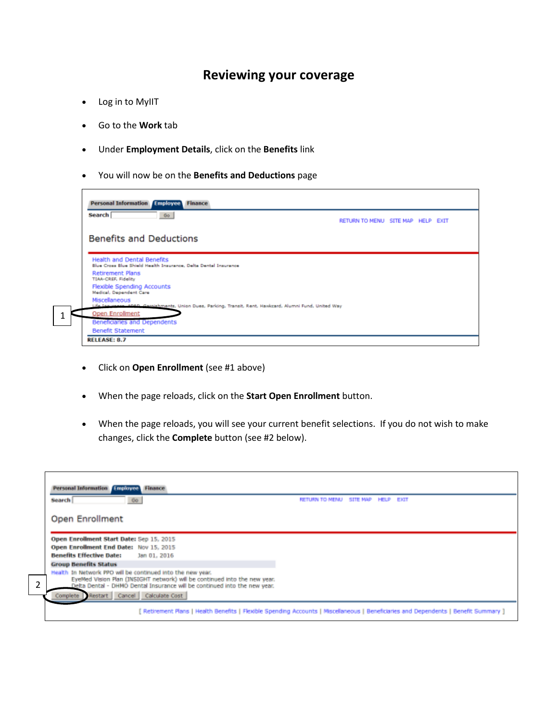# **Reviewing your coverage**

- <span id="page-1-0"></span>• Log in to MyIIT
- Go to the **Work** tab
- Under **Employment Details**, click on the **Benefits** link
- You will now be on the **Benefits and Deductions** page

|   | <b>Personal Information Employee</b><br><b>Finance</b><br><b>Search</b><br>Go.<br>RETURN TO MENU SITE MAP HELP EXIT                                                                                                                                                                                                                                                                                                                 |
|---|-------------------------------------------------------------------------------------------------------------------------------------------------------------------------------------------------------------------------------------------------------------------------------------------------------------------------------------------------------------------------------------------------------------------------------------|
|   | <b>Benefits and Deductions</b>                                                                                                                                                                                                                                                                                                                                                                                                      |
| 1 | <b>Health and Dental Benefits</b><br>Blue Cross Blue Shield Health Insurance, Delta Dental Insurance<br><b>Retirement Plans</b><br><b>TIAA-CREF, Fidelity</b><br>Flexible Spending Accounts<br>Medical, Dependent Care<br>Miscellaneous<br>Life Insurance, ADED, Garnichments, Union Dues, Parking, Transit, Rent, Hawkcard, Alumni Fund, United Way<br>Open Enrollment<br>Beneficiaries and Dependents<br><b>Benefit Statement</b> |
|   | <b>RELEASE: 8.7</b>                                                                                                                                                                                                                                                                                                                                                                                                                 |

- Click on **Open Enrollment** (see #1 above)
- When the page reloads, click on the **Start Open Enrollment** button.
- When the page reloads, you will see your current benefit selections. If you do not wish to make changes, click the **Complete** button (see #2 below).

|   | <b>Personal Information</b> Employee<br><b>Finance</b>                                                                                                 |                              |  |      |
|---|--------------------------------------------------------------------------------------------------------------------------------------------------------|------------------------------|--|------|
|   | <b>Search</b><br>Go                                                                                                                                    | RETURN TO MENU SITE MAP HELP |  | EXIT |
|   | Open Enrollment                                                                                                                                        |                              |  |      |
|   | Open Enrollment Start Date: Sep 15, 2015                                                                                                               |                              |  |      |
|   | Open Enrollment End Date: Nov 15, 2015                                                                                                                 |                              |  |      |
|   | <b>Benefits Effective Date:</b><br>3an 01, 2016                                                                                                        |                              |  |      |
|   | <b>Group Benefits Status</b>                                                                                                                           |                              |  |      |
|   | Health In Network PPO will be continued into the new year.                                                                                             |                              |  |      |
| 2 | EyeMed Vision Plan (INSIGHT network) will be continued into the new year.<br>Delta Dental - DHMO Dental Insurance will be continued into the new year. |                              |  |      |
|   | Complete   Restart   Cancel   Calculate Cost                                                                                                           |                              |  |      |
|   | [ Retirement Plans   Health Benefits   Flexible Spending Accounts   Miscellaneous   Beneficiaries and Dependents   Benefit Summary ]                   |                              |  |      |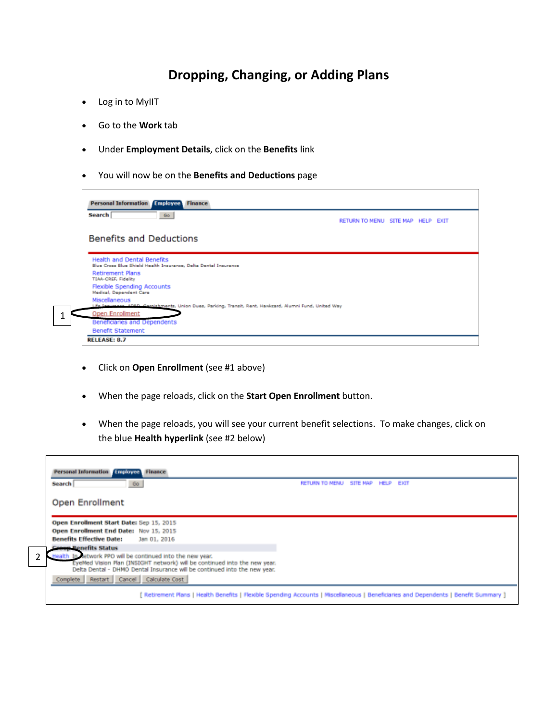# **Dropping, Changing, or Adding Plans**

- <span id="page-2-0"></span>• Log in to MyIIT
- Go to the **Work** tab
- Under **Employment Details**, click on the **Benefits** link
- You will now be on the **Benefits and Deductions** page

|   | <b>Personal Information Employee</b><br><b>Finance</b><br><b>Search</b><br>Go<br>RETURN TO MENU SITE MAP HELP EXIT                                                                                                                                                                                                                                                                                                                 |
|---|------------------------------------------------------------------------------------------------------------------------------------------------------------------------------------------------------------------------------------------------------------------------------------------------------------------------------------------------------------------------------------------------------------------------------------|
|   | <b>Benefits and Deductions</b>                                                                                                                                                                                                                                                                                                                                                                                                     |
| 1 | <b>Health and Dental Benefits</b><br>Blue Cross Blue Shield Health Insurance, Delta Dental Insurance<br><b>Retirement Plans</b><br><b>TIAA-CREF, Fidelity</b><br>Flexible Spending Accounts<br>Medical, Dependent Care<br>Miscellaneous<br>Life Innumers, ADED, Garnishments, Union Dues, Parking, Transit, Rent, Hawkcard, Alumni Fund, United Way<br>Open Enrollment<br>Beneficiaries and Dependents<br><b>Benefit Statement</b> |
|   | <b>RELEASE: 8.7</b>                                                                                                                                                                                                                                                                                                                                                                                                                |

- Click on **Open Enrollment** (see #1 above)
- When the page reloads, click on the **Start Open Enrollment** button.
- When the page reloads, you will see your current benefit selections. To make changes, click on the blue **Health hyperlink** (see #2 below)

| <b>Personal Information Employee</b><br>Finance                                                                                                                                                                      |                                   |  |  |
|----------------------------------------------------------------------------------------------------------------------------------------------------------------------------------------------------------------------|-----------------------------------|--|--|
| <b>Search</b><br>Go.                                                                                                                                                                                                 | RETURN TO MENU SITE MAP HELP EXIT |  |  |
| Open Enrollment                                                                                                                                                                                                      |                                   |  |  |
| Open Enrollment Start Date: Sep 15, 2015                                                                                                                                                                             |                                   |  |  |
| Open Enrollment End Date: Nov 15, 2015                                                                                                                                                                               |                                   |  |  |
| <b>Benefits Effective Date:</b><br>Jan 01, 2016                                                                                                                                                                      |                                   |  |  |
| <b>Benefits Status</b>                                                                                                                                                                                               |                                   |  |  |
| Health In Network PPD will be continued into the new year.<br>EyeMed Vision Plan (INSIGHT network) will be continued into the new year.<br>Delta Dental - DHMO Dental Insurance will be continued into the new year. |                                   |  |  |
| Complete   Restart   Cancel   Calculate Cost                                                                                                                                                                         |                                   |  |  |
| [ Retirement Plans   Health Benefits   Flexible Spending Accounts   Miscellaneous   Beneficiaries and Dependents   Benefit Summary ]                                                                                 |                                   |  |  |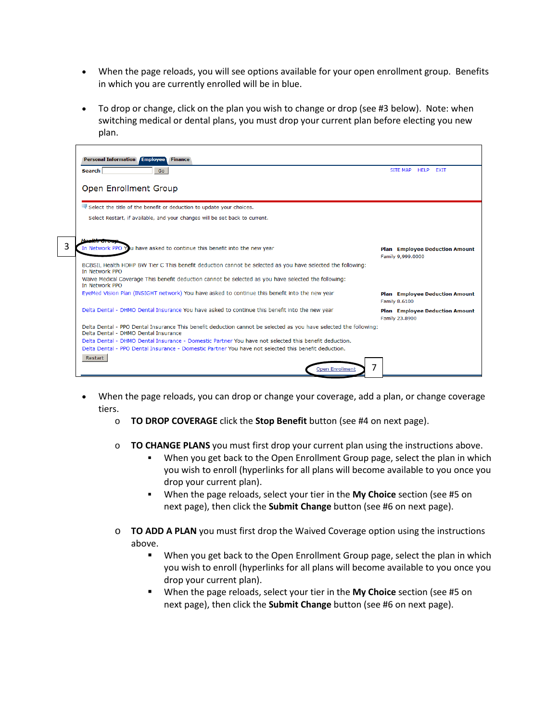- When the page reloads, you will see options available for your open enrollment group. Benefits in which you are currently enrolled will be in blue.
- To drop or change, click on the plan you wish to change or drop (see #3 below). Note: when switching medical or dental plans, you must drop your current plan before electing you new plan.

|   | <b>Personal Information Employee</b><br><b>Finance</b>                                                                                                    |                                                            |
|---|-----------------------------------------------------------------------------------------------------------------------------------------------------------|------------------------------------------------------------|
|   | Search<br>Go                                                                                                                                              | SITE MAP HELP EXIT                                         |
|   | Open Enrollment Group                                                                                                                                     |                                                            |
|   | Select the title of the benefit or deduction to update your choices.                                                                                      |                                                            |
|   | Select Restart, if available, and your changes will be set back to current.                                                                               |                                                            |
|   |                                                                                                                                                           |                                                            |
|   |                                                                                                                                                           |                                                            |
| 3 | In Network PPO You have asked to continue this benefit into the new year                                                                                  | <b>Plan</b> Employee Deduction Amount<br>Family 9,999.0000 |
|   | BCBSIL Health HDHP BW Tier C This benefit deduction cannot be selected as you have selected the following:<br>In Network PPO                              |                                                            |
|   | Waive Medical Coverage This benefit deduction cannot be selected as you have selected the following:<br>In Network PPO                                    |                                                            |
|   | EyeMed Vision Plan (INSIGHT network) You have asked to continue this benefit into the new year                                                            | <b>Plan</b> Employee Deduction Amount<br>Family 8.6100     |
|   | Delta Dental - DHMO Dental Insurance You have asked to continue this benefit into the new year                                                            | <b>Plan</b> Employee Deduction Amount<br>Family 23.8900    |
|   | Delta Dental - PPO Dental Insurance This benefit deduction cannot be selected as you have selected the following:<br>Delta Dental - DHMO Dental Insurance |                                                            |
|   | Delta Dental - DHMO Dental Insurance - Domestic Partner You have not selected this benefit deduction.                                                     |                                                            |
|   | Delta Dental - PPO Dental Insurance - Domestic Partner You have not selected this benefit deduction.                                                      |                                                            |
|   | Restart                                                                                                                                                   |                                                            |
|   | <b>Open Enrollment</b>                                                                                                                                    |                                                            |
|   |                                                                                                                                                           |                                                            |

- When the page reloads, you can drop or change your coverage, add a plan, or change coverage tiers.
	- o **TO DROP COVERAGE** click the **Stop Benefit** button (see #4 on next page).
	- o **TO CHANGE PLANS** you must first drop your current plan using the instructions above.
		- When you get back to the Open Enrollment Group page, select the plan in which you wish to enroll (hyperlinks for all plans will become available to you once you drop your current plan).
		- When the page reloads, select your tier in the **My Choice** section (see #5 on next page), then click the **Submit Change** button (see #6 on next page).
	- o **TO ADD A PLAN** you must first drop the Waived Coverage option using the instructions above.
		- When you get back to the Open Enrollment Group page, select the plan in which you wish to enroll (hyperlinks for all plans will become available to you once you drop your current plan).
		- When the page reloads, select your tier in the **My Choice** section (see #5 on next page), then click the **Submit Change** button (see #6 on next page).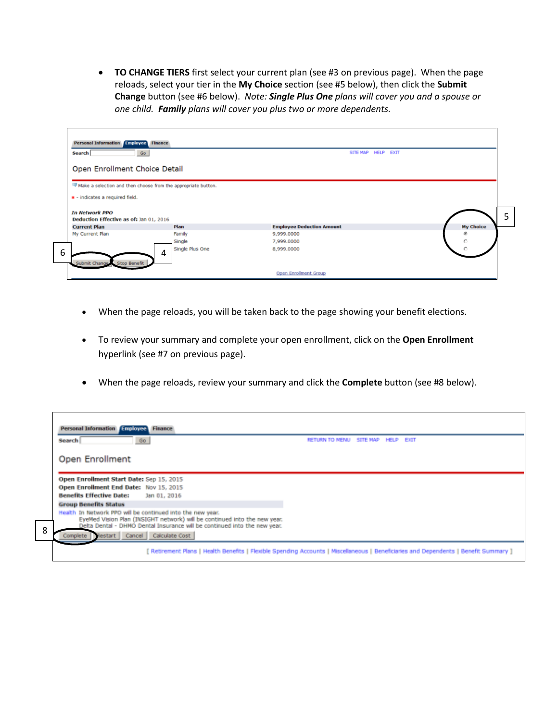• **TO CHANGE TIERS** first select your current plan (see #3 on previous page). When the page reloads, select your tier in the **My Choice** section (see #5 below), then click the **Submit Change** button (see #6 below). *Note: Single Plus One plans will cover you and a spouse or one child. Family plans will cover you plus two or more dependents.*

|   | <b>Personal Information Employee Finance</b><br>Go<br>Search     |                      | <b>SITE MAP</b><br><b>HELP EXIT</b> |                  |
|---|------------------------------------------------------------------|----------------------|-------------------------------------|------------------|
|   | Open Enrollment Choice Detail                                    |                      |                                     |                  |
|   | Make a selection and then choose from the appropriate button.    |                      |                                     |                  |
|   | * - indicates a required field.                                  |                      |                                     |                  |
|   | <b>In Network PPO</b><br>Deduction Effective as of: Jan 01, 2016 |                      |                                     |                  |
|   | <b>Current Plan</b>                                              | Plan                 | <b>Employee Deduction Amount</b>    | <b>My Choice</b> |
|   | My Current Plan                                                  | Family               | 9,999.0000                          | 慮                |
|   |                                                                  | Single               | 7,999.0000                          | O                |
| 6 |                                                                  | Single Plus One<br>4 | 8,999,0000                          |                  |
|   | Stop Benefit<br>Submit Change                                    |                      | Open Enrolment Group                |                  |

- When the page reloads, you will be taken back to the page showing your benefit elections.
- To review your summary and complete your open enrollment, click on the **Open Enrollment** hyperlink (see #7 on previous page).
- When the page reloads, review your summary and click the **Complete** button (see #8 below).

|   | <b>Personal Information Employee</b><br>Finance                                                                                      |                                   |  |  |
|---|--------------------------------------------------------------------------------------------------------------------------------------|-----------------------------------|--|--|
|   | <b>Search</b>                                                                                                                        | RETURN TO MENU SITE MAP HELP EXIT |  |  |
|   | Open Enrollment                                                                                                                      |                                   |  |  |
|   | Open Enrollment Start Date: Sep 15, 2015                                                                                             |                                   |  |  |
|   | Open Enrollment End Date: Nov 15, 2015                                                                                               |                                   |  |  |
|   | <b>Benefits Effective Date:</b><br>3an 01, 2016                                                                                      |                                   |  |  |
|   | <b>Group Benefits Status</b>                                                                                                         |                                   |  |  |
|   | Health In Network PPO will be continued into the new year.                                                                           |                                   |  |  |
|   | EyeMed Vision Plan (INSIGHT network) will be continued into the new year.                                                            |                                   |  |  |
| 8 | Delta Dental - DHMO Dental Insurance will be continued into the new year.                                                            |                                   |  |  |
|   | Restart Cancel Calculate Cost<br>Complete                                                                                            |                                   |  |  |
|   | ( Retirement Plans ) Health Benefits   Flexible Spending Accounts   Miscellaneous   Beneficiaries and Dependents   Benefit Summary ] |                                   |  |  |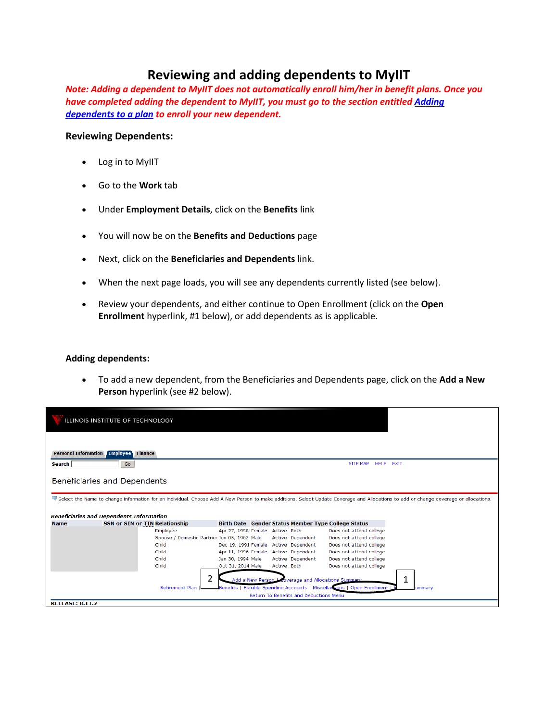# **Reviewing and adding dependents to MyIIT**

<span id="page-5-0"></span>*Note: Adding a dependent to MyIIT does not automatically enroll him/her in benefit plans. Once you have completed adding the dependent to MyIIT, you must go to the section entitled [Adding](#page-7-0)  [dependents to a plan](#page-7-0) to enroll your new dependent.*

#### **Reviewing Dependents:**

- Log in to MyIIT
- Go to the **Work** tab
- Under **Employment Details**, click on the **Benefits** link
- You will now be on the **Benefits and Deductions** page
- Next, click on the **Beneficiaries and Dependents** link.
- When the next page loads, you will see any dependents currently listed (see below).
- Review your dependents, and either continue to Open Enrollment (click on the **Open Enrollment** hyperlink, #1 below), or add dependents as is applicable.

#### **Adding dependents:**

• To add a new dependent, from the Beneficiaries and Dependents page, click on the **Add a New Person** hyperlink (see #2 below).

|                                      | ILLINOIS INSTITUTE OF TECHNOLOGY                |                                             |                                      |                                                     |                                                                         |                                                                                                                                                                                      |
|--------------------------------------|-------------------------------------------------|---------------------------------------------|--------------------------------------|-----------------------------------------------------|-------------------------------------------------------------------------|--------------------------------------------------------------------------------------------------------------------------------------------------------------------------------------|
| <b>Personal Information Employee</b> | <b>Finance</b>                                  |                                             |                                      |                                                     |                                                                         |                                                                                                                                                                                      |
| Search                               | Go                                              |                                             |                                      |                                                     | <b>HELP</b><br><b>SITE MAP</b>                                          | <b>EXIT</b>                                                                                                                                                                          |
|                                      | Beneficiaries and Dependents                    |                                             |                                      |                                                     |                                                                         |                                                                                                                                                                                      |
|                                      |                                                 |                                             |                                      |                                                     |                                                                         | Select the Name to change information for an individual. Choose Add A New Person to make additions. Select Update Coverage and Allocations to add or change coverage or allocations. |
|                                      |                                                 |                                             |                                      |                                                     |                                                                         |                                                                                                                                                                                      |
|                                      | <b>Beneficiaries and Dependents Information</b> |                                             |                                      |                                                     |                                                                         |                                                                                                                                                                                      |
| <b>Name</b>                          | <b>SSN or SIN or TIN Relationship</b>           |                                             |                                      | Birth Date Gender Status Member Type College Status |                                                                         |                                                                                                                                                                                      |
|                                      |                                                 | Employee                                    | Apr 27, 1958 Female Active Both      |                                                     | Does not attend college                                                 |                                                                                                                                                                                      |
|                                      |                                                 | Spouse / Domestic Partner Jun 05, 1962 Male |                                      | Active Dependent                                    | Does not attend college                                                 |                                                                                                                                                                                      |
|                                      |                                                 | Child                                       | Dec 19, 1991 Female Active Dependent |                                                     | Does not attend college                                                 |                                                                                                                                                                                      |
|                                      |                                                 | Child                                       | Apr 11, 1996 Female Active Dependent |                                                     | Does not attend college                                                 |                                                                                                                                                                                      |
|                                      |                                                 | Child                                       | Jan 30, 1994 Male                    | Active Dependent                                    | Does not attend college                                                 |                                                                                                                                                                                      |
|                                      |                                                 | Child                                       | Oct 31, 2014 Male                    | Active Both                                         | Does not attend college                                                 |                                                                                                                                                                                      |
|                                      |                                                 | 2                                           |                                      | Add a New Person Leoverage and Allocations Summary  |                                                                         |                                                                                                                                                                                      |
|                                      |                                                 | <b>Retirement Plan</b>                      |                                      |                                                     | Benefits   Flexible Spending Accounts   Miscellareous   Open Enrollment | ummary                                                                                                                                                                               |
|                                      |                                                 |                                             |                                      | Return To Benefits and Deductions Menu              |                                                                         |                                                                                                                                                                                      |
| <b>RELEASE: 8.11.2</b>               |                                                 |                                             |                                      |                                                     |                                                                         |                                                                                                                                                                                      |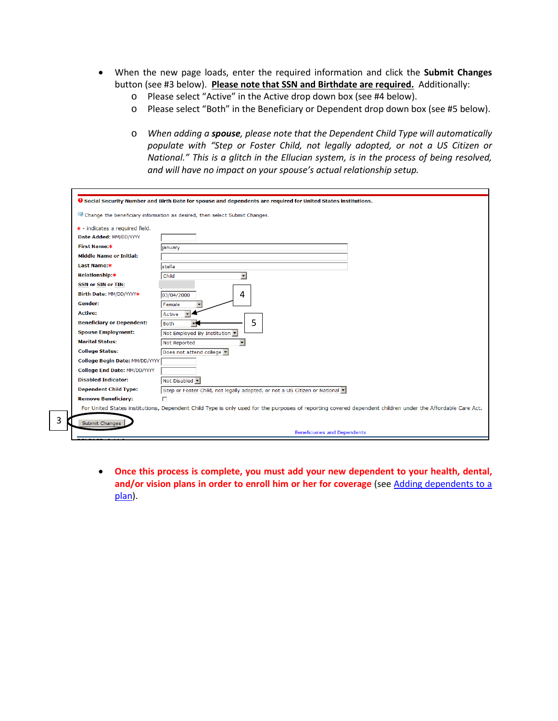- When the new page loads, enter the required information and click the **Submit Changes** button (see #3 below). **Please note that SSN and Birthdate are required.** Additionally:
	- o Please select "Active" in the Active drop down box (see #4 below).
	- o Please select "Both" in the Beneficiary or Dependent drop down box (see #5 below).
	- o *When adding a spouse, please note that the Dependent Child Type will automatically populate with "Step or Foster Child, not legally adopted, or not a US Citizen or National." This is a glitch in the Ellucian system, is in the process of being resolved, and will have no impact on your spouse's actual relationship setup.*

| * - indicates a required field.  | Change the beneficiary information as desired, then select Submit Changes.                                                                                |
|----------------------------------|-----------------------------------------------------------------------------------------------------------------------------------------------------------|
|                                  |                                                                                                                                                           |
|                                  |                                                                                                                                                           |
| Date Added: MM/DD/YYYY           |                                                                                                                                                           |
| <b>First Name:*</b>              | <b>lianuary</b>                                                                                                                                           |
| <b>Middle Name or Initial:</b>   |                                                                                                                                                           |
| <b>Last Name:*</b>               | stella                                                                                                                                                    |
| Relationship:*                   | $\overline{\phantom{a}}$<br>Child                                                                                                                         |
| <b>SSN or SIN or TIN:</b>        |                                                                                                                                                           |
| Birth Date: MM/DD/YYYY*          | 4<br>03/04/2000                                                                                                                                           |
| Gender:                          | Female                                                                                                                                                    |
| <b>Active:</b>                   | Active                                                                                                                                                    |
| <b>Beneficiary or Dependent:</b> | 5<br>Both                                                                                                                                                 |
| <b>Spouse Employment:</b>        | Not Employed By Institution                                                                                                                               |
| <b>Marital Status:</b>           | Not Reported                                                                                                                                              |
| <b>College Status:</b>           | Does not attend college v                                                                                                                                 |
| College Begin Date: MM/DD/YYYY   |                                                                                                                                                           |
| College End Date: MM/DD/YYYY     |                                                                                                                                                           |
| <b>Disabled Indicator:</b>       | Not Disabled                                                                                                                                              |
| <b>Dependent Child Type:</b>     | Step or Foster Child, not legally adopted, or not a US Citizen or National v                                                                              |
| <b>Remove Beneficiary:</b>       | п                                                                                                                                                         |
|                                  | For United States institutions, Dependent Child Type is only used for the purposes of reporting covered dependent children under the Affordable Care Act. |
|                                  |                                                                                                                                                           |
| Submit Changes                   | <b>Beneficiaries and Dependents</b>                                                                                                                       |

• **Once this process is complete, you must add your new dependent to your health, dental, and/or vision plans in order to enroll him or her for coverage** (see [Adding dependents to a](#page-7-0)  [plan\)](#page-7-0).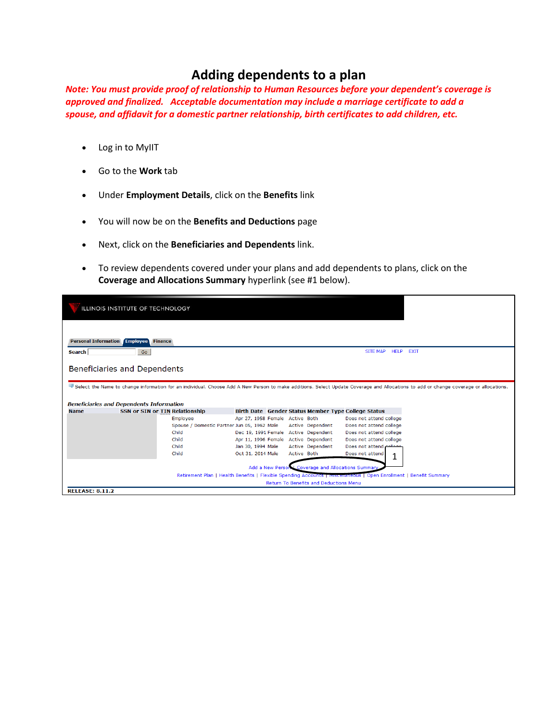# **Adding dependents to a plan**

<span id="page-7-0"></span>*Note: You must provide proof of relationship to Human Resources before your dependent's coverage is approved and finalized. Acceptable documentation may include a marriage certificate to add a spouse, and affidavit for a domestic partner relationship, birth certificates to add children, etc.*

- Log in to MyIIT
- Go to the **Work** tab
- Under **Employment Details**, click on the **Benefits** link
- You will now be on the **Benefits and Deductions** page
- Next, click on the **Beneficiaries and Dependents** link.
- To review dependents covered under your plans and add dependents to plans, click on the **Coverage and Allocations Summary** hyperlink (see #1 below).

|                        | ILLINOIS INSTITUTE OF TECHNOLOGY                       |                                             |                                      |                                                            |                                                                                                                    |                                                                                                                                                                                      |
|------------------------|--------------------------------------------------------|---------------------------------------------|--------------------------------------|------------------------------------------------------------|--------------------------------------------------------------------------------------------------------------------|--------------------------------------------------------------------------------------------------------------------------------------------------------------------------------------|
|                        | <b>Personal Information Employee</b><br><b>Finance</b> |                                             |                                      |                                                            |                                                                                                                    |                                                                                                                                                                                      |
| <b>Search</b>          | Go                                                     |                                             |                                      |                                                            | <b>SITE MAP</b><br><b>HELP</b>                                                                                     | <b>EXIT</b>                                                                                                                                                                          |
|                        | Beneficiaries and Dependents                           |                                             |                                      |                                                            |                                                                                                                    |                                                                                                                                                                                      |
|                        |                                                        |                                             |                                      |                                                            |                                                                                                                    | Select the Name to change information for an individual. Choose Add A New Person to make additions. Select Update Coverage and Allocations to add or change coverage or allocations. |
|                        |                                                        |                                             |                                      |                                                            |                                                                                                                    |                                                                                                                                                                                      |
|                        | <b>Beneficiaries and Dependents Information</b>        |                                             |                                      |                                                            |                                                                                                                    |                                                                                                                                                                                      |
| <b>Name</b>            | <b>SSN or SIN or TIN Relationship</b>                  |                                             |                                      | <b>Birth Date Gender Status Member Type College Status</b> |                                                                                                                    |                                                                                                                                                                                      |
|                        |                                                        | Employee                                    | Apr 27, 1958 Female Active Both      |                                                            | Does not attend college                                                                                            |                                                                                                                                                                                      |
|                        |                                                        | Spouse / Domestic Partner Jun 05, 1962 Male |                                      | Active Dependent                                           | Does not attend college                                                                                            |                                                                                                                                                                                      |
|                        |                                                        | Child                                       | Dec 19, 1991 Female Active Dependent |                                                            | Does not attend college                                                                                            |                                                                                                                                                                                      |
|                        |                                                        | Child                                       | Apr 11, 1996 Female Active Dependent |                                                            | Does not attend college                                                                                            |                                                                                                                                                                                      |
|                        |                                                        | Child                                       | Jan 30, 1994 Male                    | Active Dependent                                           | Does not attend                                                                                                    |                                                                                                                                                                                      |
|                        |                                                        | Child                                       | Oct 31, 2014 Male                    | Active Both                                                | Does not attend                                                                                                    |                                                                                                                                                                                      |
|                        |                                                        |                                             |                                      |                                                            |                                                                                                                    |                                                                                                                                                                                      |
|                        |                                                        |                                             |                                      | Add a New Person   Coverage and Allocations Summary        |                                                                                                                    |                                                                                                                                                                                      |
|                        |                                                        |                                             |                                      |                                                            | Retirement Plan   Health Benefits   Flexible Spending Accounts   Miscellaneous   Open Enrollment   Benefit Summary |                                                                                                                                                                                      |
|                        |                                                        |                                             |                                      | Return To Benefits and Deductions Menu                     |                                                                                                                    |                                                                                                                                                                                      |
| <b>RELEASE: 8.11.2</b> |                                                        |                                             |                                      |                                                            |                                                                                                                    |                                                                                                                                                                                      |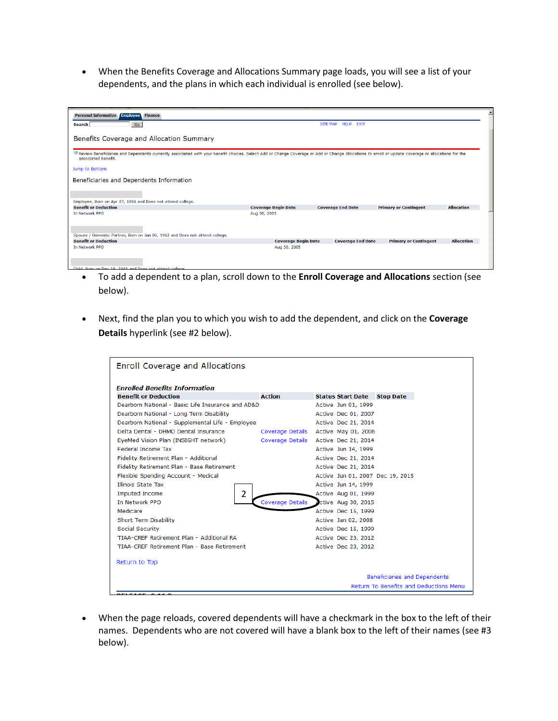• When the Benefits Coverage and Allocations Summary page loads, you will see a list of your dependents, and the plans in which each individual is enrolled (see below).

| <b>Personal Information Employee Finance</b>                                                                                                                                                                              |                            |                              |                              |                   |
|---------------------------------------------------------------------------------------------------------------------------------------------------------------------------------------------------------------------------|----------------------------|------------------------------|------------------------------|-------------------|
| Search<br>Go                                                                                                                                                                                                              |                            | SITE MAP HELP<br><b>EXIT</b> |                              |                   |
| Benefits Coverage and Allocation Summary                                                                                                                                                                                  |                            |                              |                              |                   |
| Review Beneficiaries and Dependents currently associated with your benefit choices. Select Add or Change Coverage or Add or Change Allocations to enroll or update coverage or allocations for the<br>associated benefit. |                            |                              |                              |                   |
| Jump to Bottom                                                                                                                                                                                                            |                            |                              |                              |                   |
| Beneficiaries and Dependents Information                                                                                                                                                                                  |                            |                              |                              |                   |
| Employee, Born on Apr 27, 1958 and Does not attend college.                                                                                                                                                               |                            |                              |                              |                   |
| <b>Benefit or Deduction</b>                                                                                                                                                                                               | <b>Coverage Begin Date</b> | <b>Coverage End Date</b>     | <b>Primary or Contingent</b> | <b>Allocation</b> |
| In Network PPO                                                                                                                                                                                                            | Aug 30, 2005               |                              |                              |                   |
|                                                                                                                                                                                                                           |                            |                              |                              |                   |
|                                                                                                                                                                                                                           |                            |                              |                              |                   |
| Spouse / Domestic Partner, Born on Jun 05, 1962 and Does not attend college.                                                                                                                                              |                            |                              |                              |                   |
| <b>Benefit or Deduction</b>                                                                                                                                                                                               | <b>Coverage Begin Date</b> | <b>Coverage End Date</b>     | <b>Primary or Contingent</b> | <b>Allocation</b> |
| In Network PPO                                                                                                                                                                                                            | Aug 30, 2005               |                              |                              |                   |
|                                                                                                                                                                                                                           |                            |                              |                              |                   |
|                                                                                                                                                                                                                           |                            |                              |                              |                   |

- To add a dependent to a plan, scroll down to the **Enroll Coverage and Allocations** section (see below).
- Next, find the plan you to which you wish to add the dependent, and click on the **Coverage Details** hyperlink (see #2 below).

| <b>Enroll Coverage and Allocations</b>            |                  |                                  |                                        |
|---------------------------------------------------|------------------|----------------------------------|----------------------------------------|
| <b>Enrolled Benefits Information</b>              |                  |                                  |                                        |
| <b>Benefit or Deduction</b>                       | <b>Action</b>    | <b>Status Start Date</b>         | <b>Stop Date</b>                       |
| Dearborn National - Basic Life Insurance and AD&D |                  | Active Jun 01, 1999              |                                        |
| Dearborn National - Long Term Disability          |                  | Active Dec 01, 2007              |                                        |
| Dearborn National - Supplemental Life - Employee  |                  | Active Dec 21, 2014              |                                        |
| Delta Dental - DHMO Dental Insurance              | Coverage Details | Active May 01, 2006              |                                        |
| EyeMed Vision Plan (INSIGHT network)              | Coverage Details | Active Dec 21, 2014              |                                        |
| <b>Federal Income Tax</b>                         |                  | Active Jun 14, 1999              |                                        |
| Fidelity Retirement Plan - Additional             |                  | Active Dec 21, 2014              |                                        |
| Fidelity Retirement Plan - Base Retirement        |                  | Active Dec 21, 2014              |                                        |
| Flexible Spending Account - Medical               |                  | Active Jun 01, 2007 Dec 19, 2015 |                                        |
| <b>Illinois State Tax</b>                         |                  | Active Jun 14, 1999              |                                        |
| 2<br><b>Imputed Income</b>                        |                  | Active Aug 01, 1999              |                                        |
| In Network PPO                                    | Coverage Details | <b>Active Aug 30, 2015</b>       |                                        |
| Medicare                                          |                  | Active Dec 15, 1999              |                                        |
| Short Term Disability                             |                  | Active Jan 02, 2008              |                                        |
| Social Security                                   |                  | Active Dec 15, 1999              |                                        |
| TIAA-CREE Retirement Plan - Additional RA         |                  | Active Dec 23, 2012              |                                        |
| TIAA-CREF Retirement Plan - Base Retirement       |                  | Active Dec 23, 2012              |                                        |
| Return to Top                                     |                  |                                  |                                        |
|                                                   |                  |                                  | <b>Beneficiaries and Dependents</b>    |
|                                                   |                  |                                  | Return To Benefits and Deductions Menu |

• When the page reloads, covered dependents will have a checkmark in the box to the left of their names. Dependents who are not covered will have a blank box to the left of their names (see #3 below).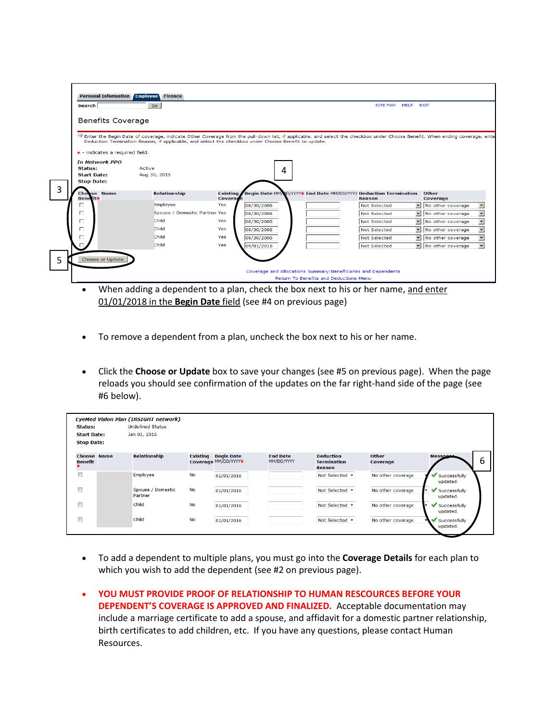|   | <b>Personal Information Employee</b>      | <b>Finance</b>                                                                                                                                                                                                                                                                                                  |                             |            |   |                                                                  |                     |              |                     |                          |  |
|---|-------------------------------------------|-----------------------------------------------------------------------------------------------------------------------------------------------------------------------------------------------------------------------------------------------------------------------------------------------------------------|-----------------------------|------------|---|------------------------------------------------------------------|---------------------|--------------|---------------------|--------------------------|--|
|   | <b>Search</b>                             | Go                                                                                                                                                                                                                                                                                                              |                             |            |   |                                                                  | SITE MAP HELP EXIT  |              |                     |                          |  |
|   | Benefits Coverage                         |                                                                                                                                                                                                                                                                                                                 |                             |            |   |                                                                  |                     |              |                     |                          |  |
|   |                                           | The Begin Date of coverage, indicate Other Coverage from the pull-down list, if applicable, and select the checkbox under Choose Benefit. When ending coverage, ente<br>Deduction Termination Reason, if applicable, and select the checkbox under Choose Benefit to update.<br>* - indicates a required field. |                             |            |   |                                                                  |                     |              |                     |                          |  |
|   |                                           |                                                                                                                                                                                                                                                                                                                 |                             |            |   |                                                                  |                     |              |                     |                          |  |
|   | <b>In Network PPO</b>                     |                                                                                                                                                                                                                                                                                                                 |                             |            |   |                                                                  |                     |              |                     |                          |  |
|   | <b>Status:</b>                            | Active                                                                                                                                                                                                                                                                                                          |                             |            | 4 |                                                                  |                     |              |                     |                          |  |
|   | <b>Start Date:</b><br><b>Stop Date:</b>   | Aug 30, 2015                                                                                                                                                                                                                                                                                                    |                             |            |   |                                                                  |                     |              |                     |                          |  |
| 3 |                                           |                                                                                                                                                                                                                                                                                                                 |                             |            |   |                                                                  |                     |              |                     |                          |  |
|   | ise Name<br><b>Cho</b><br><b>Benefit*</b> | <b>Relationship</b>                                                                                                                                                                                                                                                                                             | <b>Existing</b><br>Coverade |            |   | Begin Date MM/DD/YYYY* End Date MM/DD/YYYY Deduction Termination | <b>Reason</b>       |              | Other<br>Coverage   |                          |  |
|   | г                                         | Employee                                                                                                                                                                                                                                                                                                        | Yes                         | 08/30/2005 |   |                                                                  | <b>Not Selected</b> |              | v No other coverage |                          |  |
|   | п                                         | Spouse / Domestic Partner Yes                                                                                                                                                                                                                                                                                   |                             | 08/30/2005 |   |                                                                  | Not Selected        |              | V No other coverage | $\overline{\phantom{a}}$ |  |
|   | п                                         | Child                                                                                                                                                                                                                                                                                                           | Yes                         | 08/30/2005 |   |                                                                  | <b>Not Selected</b> |              | v No other coverage | $\overline{\phantom{a}}$ |  |
|   | п                                         | Child                                                                                                                                                                                                                                                                                                           | Yes                         | 08/30/2005 |   |                                                                  | <b>Not Selected</b> |              | v No other coverage | $\overline{\phantom{0}}$ |  |
|   | г                                         | Child                                                                                                                                                                                                                                                                                                           | Yes                         | 08/30/2005 |   |                                                                  | <b>Not Selected</b> | $\mathbf{r}$ | No other coverage   |                          |  |
|   |                                           | Child                                                                                                                                                                                                                                                                                                           | Yes                         | 09/01/2015 |   |                                                                  | Not Selected        |              | v No other coverage |                          |  |
| 5 | Choose or Update                          |                                                                                                                                                                                                                                                                                                                 |                             |            |   |                                                                  |                     |              |                     |                          |  |
|   |                                           | Coverage and Allocations Summary   Beneficiaries and Dependents<br>Return To Benefits and Deductions Menu                                                                                                                                                                                                       |                             |            |   |                                                                  |                     |              |                     |                          |  |
|   |                                           |                                                                                                                                                                                                                                                                                                                 |                             |            |   |                                                                  |                     |              |                     |                          |  |

- When adding a dependent to a plan, check the box next to his or her name, and enter 01/01/2018 in the **Begin Date** field (see #4 on previous page)
- To remove a dependent from a plan, uncheck the box next to his or her name.
- Click the **Choose or Update** box to save your changes (see #5 on previous page). When the page reloads you should see confirmation of the updates on the far right-hand side of the page (see #6 below).

| <b>EyeMed Vision Plan (INSIGHT network)</b><br><b>Undefined Status</b><br><b>Status:</b><br>Jan 01, 2016<br><b>Start Date:</b><br><b>Stop Date:</b> |  |                              |                 |                                           |                               |                                                  |                          |                               |
|-----------------------------------------------------------------------------------------------------------------------------------------------------|--|------------------------------|-----------------|-------------------------------------------|-------------------------------|--------------------------------------------------|--------------------------|-------------------------------|
| <b>Choose Name</b><br><b>Benefit</b>                                                                                                                |  | <b>Relationship</b>          | <b>Existing</b> | <b>Begin Date</b><br>Coverage MM/DD/YYYY* | <b>End Date</b><br>MM/DD/YYYY | <b>Deduction</b><br><b>Termination</b><br>Reason | <b>Other</b><br>Coverage | <b>Message</b><br>6           |
| $\Box$                                                                                                                                              |  | Employee                     | <b>No</b>       | 01/01/2016                                |                               | Not Selected <b>v</b>                            | No other coverage        | Successfully<br>updated.      |
|                                                                                                                                                     |  | Spouse / Domestic<br>Partner | <b>No</b>       | 01/01/2016                                |                               | Not Selected ▼                                   | No other coverage        | Successfully<br>updated.      |
| n                                                                                                                                                   |  | Child                        | <b>No</b>       | 01/01/2016                                |                               | Not Selected ▼                                   | No other coverage        | ✓<br>Successfully<br>updated. |
|                                                                                                                                                     |  | Child                        | <b>No</b>       | 01/01/2016                                |                               | Not Selected v                                   | No other coverage        | Successfully<br>updated.      |

- To add a dependent to multiple plans, you must go into the **Coverage Details** for each plan to which you wish to add the dependent (see #2 on previous page).
- **YOU MUST PROVIDE PROOF OF RELATIONSHIP TO HUMAN RESCOURCES BEFORE YOUR DEPENDENT'S COVERAGE IS APPROVED AND FINALIZED.** Acceptable documentation may include a marriage certificate to add a spouse, and affidavit for a domestic partner relationship, birth certificates to add children, etc. If you have any questions, please contact Human Resources.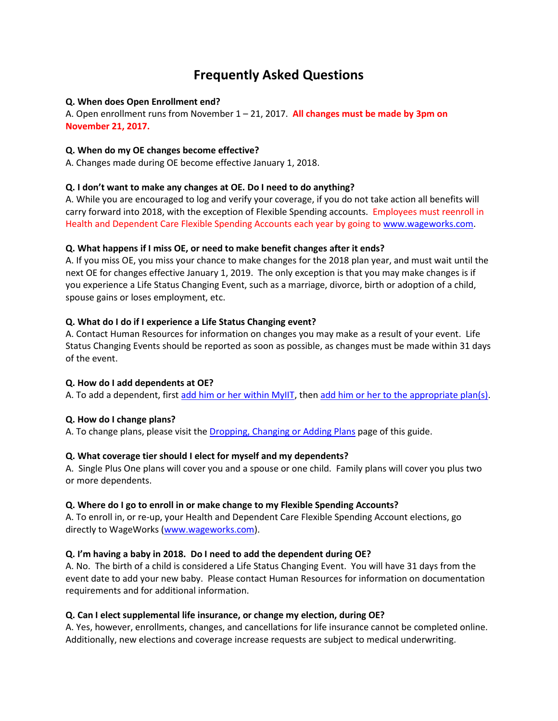# **Frequently Asked Questions**

### <span id="page-10-0"></span>**Q. When does Open Enrollment end?**

A. Open enrollment runs from November 1 – 21, 2017. **All changes must be made by 3pm on November 21, 2017.**

## **Q. When do my OE changes become effective?**

A. Changes made during OE become effective January 1, 2018.

## **Q. I don't want to make any changes at OE. Do I need to do anything?**

A. While you are encouraged to log and verify your coverage, if you do not take action all benefits will carry forward into 2018, with the exception of Flexible Spending accounts. Employees must reenroll in Health and Dependent Care Flexible Spending Accounts each year by going t[o www.wageworks.com.](http://www.wageworks.com/)

## **Q. What happens if I miss OE, or need to make benefit changes after it ends?**

A. If you miss OE, you miss your chance to make changes for the 2018 plan year, and must wait until the next OE for changes effective January 1, 2019. The only exception is that you may make changes is if you experience a Life Status Changing Event, such as a marriage, divorce, birth or adoption of a child, spouse gains or loses employment, etc.

## **Q. What do I do if I experience a Life Status Changing event?**

A. Contact Human Resources for information on changes you may make as a result of your event. Life Status Changing Events should be reported as soon as possible, as changes must be made within 31 days of the event.

### **Q. How do I add dependents at OE?**

A. To add a dependent, first [add him or her within MyIIT,](#page-5-0) the[n add him or her to the appropriate plan\(s\).](#page-7-0)

### **Q. How do I change plans?**

A. To change plans, please visit the [Dropping, Changing or Adding Plans](#page-2-0) page of this guide.

### **Q. What coverage tier should I elect for myself and my dependents?**

A. Single Plus One plans will cover you and a spouse or one child. Family plans will cover you plus two or more dependents.

### **Q. Where do I go to enroll in or make change to my Flexible Spending Accounts?**

A. To enroll in, or re-up, your Health and Dependent Care Flexible Spending Account elections, go directly to WageWorks [\(www.wageworks.com\)](http://www.wageworks.com/).

### **Q. I'm having a baby in 2018. Do I need to add the dependent during OE?**

A. No. The birth of a child is considered a Life Status Changing Event. You will have 31 days from the event date to add your new baby. Please contact Human Resources for information on documentation requirements and for additional information.

### **Q. Can I elect supplemental life insurance, or change my election, during OE?**

A. Yes, however, enrollments, changes, and cancellations for life insurance cannot be completed online. Additionally, new elections and coverage increase requests are subject to medical underwriting.